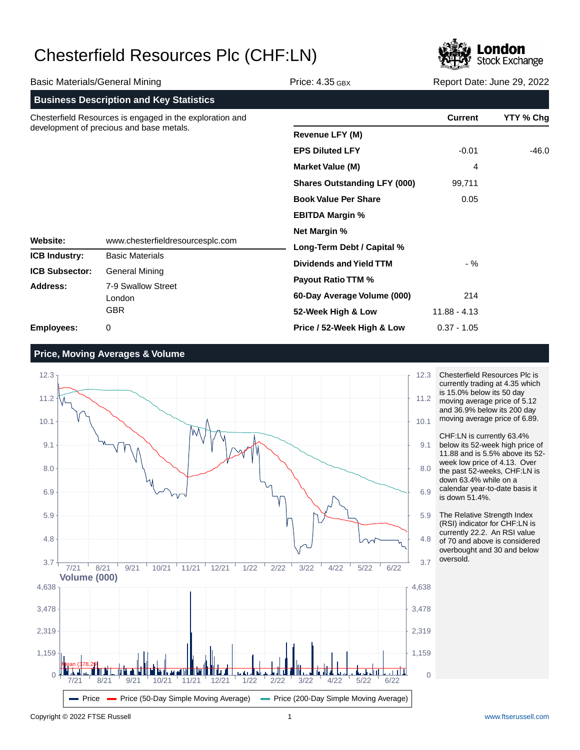

|                                                                                                                                                      |                                                |                                     | <b>The Contract of Contract and I</b> |           |
|------------------------------------------------------------------------------------------------------------------------------------------------------|------------------------------------------------|-------------------------------------|---------------------------------------|-----------|
| <b>Basic Materials/General Mining</b>                                                                                                                |                                                | Price: $4.35$ GBX                   | Report Date: June 29, 2022            |           |
|                                                                                                                                                      | <b>Business Description and Key Statistics</b> |                                     |                                       |           |
| Chesterfield Resources is engaged in the exploration and<br>development of precious and base metals.<br>Website:<br>www.chesterfieldresourcesplc.com |                                                |                                     | <b>Current</b>                        | YTY % Chg |
|                                                                                                                                                      |                                                | <b>Revenue LFY (M)</b>              |                                       |           |
|                                                                                                                                                      |                                                | <b>EPS Diluted LFY</b>              | $-0.01$                               | $-46.0$   |
|                                                                                                                                                      |                                                | <b>Market Value (M)</b>             | 4                                     |           |
|                                                                                                                                                      |                                                | <b>Shares Outstanding LFY (000)</b> | 99,711                                |           |
|                                                                                                                                                      |                                                | <b>Book Value Per Share</b>         | 0.05                                  |           |
|                                                                                                                                                      |                                                | <b>EBITDA Margin %</b>              |                                       |           |
|                                                                                                                                                      |                                                | <b>Net Margin %</b>                 |                                       |           |
|                                                                                                                                                      |                                                | Long-Term Debt / Capital %          |                                       |           |
| <b>ICB Industry:</b>                                                                                                                                 | <b>Basic Materials</b>                         | <b>Dividends and Yield TTM</b>      | - %                                   |           |
| <b>ICB Subsector:</b>                                                                                                                                | <b>General Mining</b>                          | <b>Payout Ratio TTM %</b>           |                                       |           |
| Address:                                                                                                                                             | 7-9 Swallow Street                             | 60-Day Average Volume (000)         | 214                                   |           |
|                                                                                                                                                      | London<br><b>GBR</b>                           | 52-Week High & Low                  | $11.88 - 4.13$                        |           |
| <b>Employees:</b>                                                                                                                                    | 0                                              | Price / 52-Week High & Low          | $0.37 - 1.05$                         |           |

**Price, Moving Averages & Volume**



Chesterfield Resources Plc is currently trading at 4.35 which is 15.0% below its 50 day moving average price of 5.12 and 36.9% below its 200 day moving average price of 6.89.

CHF:LN is currently 63.4% below its 52-week high price of 11.88 and is 5.5% above its 52 week low price of 4.13. Over the past 52-weeks, CHF:LN is down 63.4% while on a calendar year-to-date basis it is down 51.4%.

The Relative Strength Index (RSI) indicator for CHF:LN is currently 22.2. An RSI value of 70 and above is considered overbought and 30 and below oversold.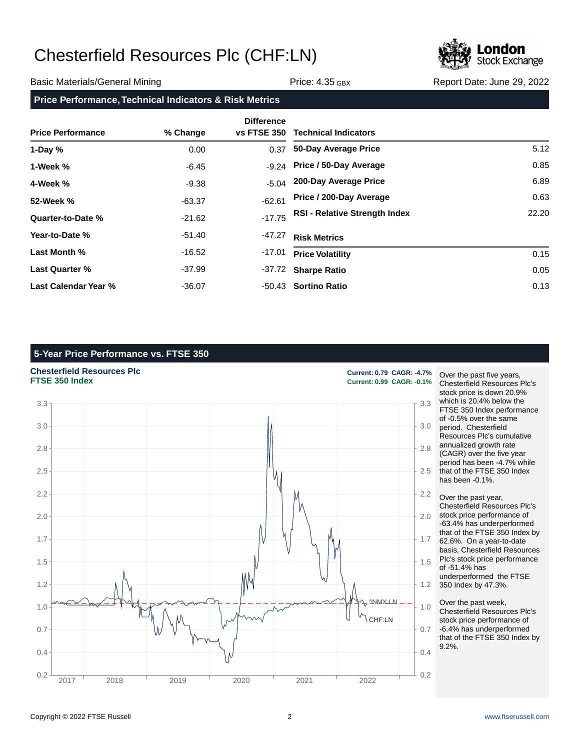

### Basic Materials/General Mining The Control of Price: 4.35 GBX Report Date: June 29, 2022

### **Price Performance, Technical Indicators & Risk Metrics**

| <b>Price Performance</b> | % Change | <b>Difference</b><br>vs FTSE 350 | <b>Technical Indicators</b>          |       |
|--------------------------|----------|----------------------------------|--------------------------------------|-------|
| 1-Day $%$                | 0.00     | 0.37                             | 50-Day Average Price                 | 5.12  |
| 1-Week %                 | $-6.45$  |                                  | -9.24 Price / 50-Day Average         | 0.85  |
| 4-Week %                 | $-9.38$  | $-5.04$                          | 200-Day Average Price                | 6.89  |
| 52-Week %                | $-63.37$ | $-62.61$                         | Price / 200-Day Average              | 0.63  |
| Quarter-to-Date %        | $-21.62$ | $-17.75$                         | <b>RSI - Relative Strength Index</b> | 22.20 |
| Year-to-Date %           | -51.40   | -47.27                           | <b>Risk Metrics</b>                  |       |
| Last Month %             | $-16.52$ | $-17.01$                         | <b>Price Volatility</b>              | 0.15  |
| Last Quarter %           | -37.99   | -37.72                           | <b>Sharpe Ratio</b>                  | 0.05  |
| Last Calendar Year %     | $-36.07$ |                                  | -50.43 Sortino Ratio                 | 0.13  |

## **5-Year Price Performance vs. FTSE 350**

## **Chesterfield Resources Plc Current: 0.79 CAGR: -4.7%**



**FTSE 350 Index Current: 0.99 CAGR: -0.1%**

Over the past five years, Chesterfield Resources Plc's stock price is down 20.9% which is 20.4% below the FTSE 350 Index performance of -0.5% over the same period. Chesterfield Resources Plc's cumulative annualized growth rate (CAGR) over the five year period has been -4.7% while that of the FTSE 350 Index has been -0.1%.

Over the past year, Chesterfield Resources Plc's stock price performance of -63.4% has underperformed that of the FTSE 350 Index by 62.6%. On a year-to-date basis, Chesterfield Resources Plc's stock price performance of -51.4% has underperformed the FTSE 350 Index by 47.3%.

Over the past week, Chesterfield Resources Plc's stock price performance of -6.4% has underperformed that of the FTSE 350 Index by 9.2%.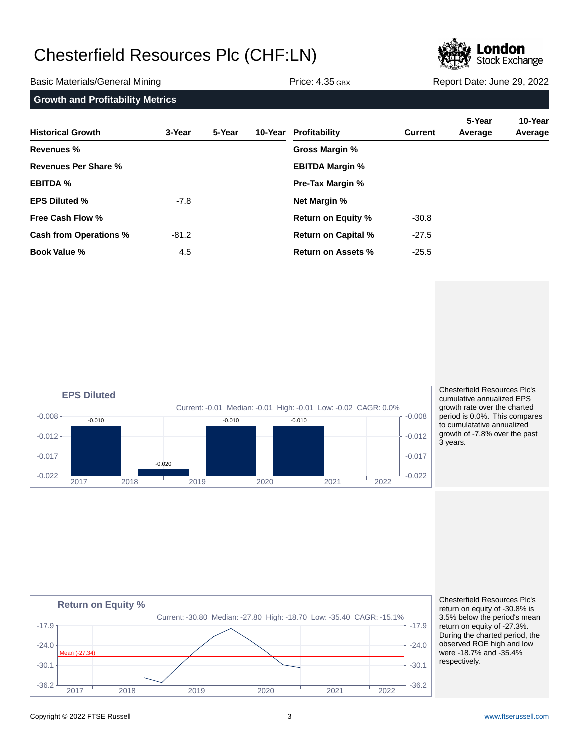

Basic Materials/General Mining The Communication of Price: 4.35 GBX Report Date: June 29, 2022

| <b>Growth and Profitability Metrics</b> |  |  |  |  |  |
|-----------------------------------------|--|--|--|--|--|
|-----------------------------------------|--|--|--|--|--|

| <b>Historical Growth</b>      | 3-Year  | 5-Year |                        | 10-Year Profitability      | <b>Current</b> | 5-Year<br>Average | 10-Year<br>Average |
|-------------------------------|---------|--------|------------------------|----------------------------|----------------|-------------------|--------------------|
| <b>Revenues %</b>             |         |        |                        | Gross Margin %             |                |                   |                    |
| Revenues Per Share %          |         |        | <b>EBITDA Margin %</b> |                            |                |                   |                    |
| <b>EBITDA %</b>               |         |        |                        | <b>Pre-Tax Margin %</b>    |                |                   |                    |
| <b>EPS Diluted %</b>          | $-7.8$  |        |                        | <b>Net Margin %</b>        |                |                   |                    |
| <b>Free Cash Flow %</b>       |         |        |                        | <b>Return on Equity %</b>  | $-30.8$        |                   |                    |
| <b>Cash from Operations %</b> | $-81.2$ |        |                        | <b>Return on Capital %</b> | $-27.5$        |                   |                    |
| <b>Book Value %</b>           | 4.5     |        |                        | <b>Return on Assets %</b>  | $-25.5$        |                   |                    |



Chesterfield Resources Plc's cumulative annualized EPS growth rate over the charted period is 0.0%. This compares to cumulatative annualized growth of -7.8% over the past 3 years.



Chesterfield Resources Plc's return on equity of -30.8% is 3.5% below the period's mean return on equity of -27.3%. During the charted period, the observed ROE high and low were -18.7% and -35.4% respectively.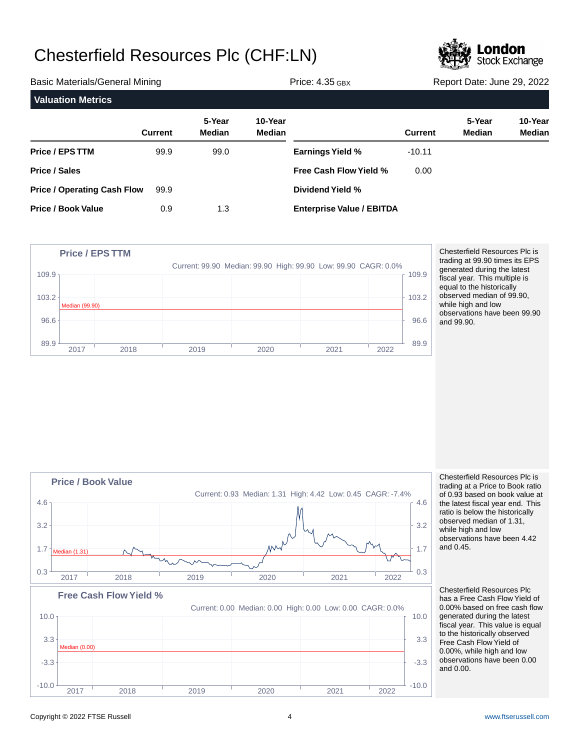

| <b>Basic Materials/General Mining</b> |                |                         | <b>Price: 4.35 GBX</b>   |                                  | Report Date: June 29, 2022 |                  |                   |
|---------------------------------------|----------------|-------------------------|--------------------------|----------------------------------|----------------------------|------------------|-------------------|
| <b>Valuation Metrics</b>              |                |                         |                          |                                  |                            |                  |                   |
|                                       | <b>Current</b> | 5-Year<br><b>Median</b> | 10-Year<br><b>Median</b> |                                  | <b>Current</b>             | 5-Year<br>Median | 10-Year<br>Median |
| Price / EPS TTM                       | 99.9           | 99.0                    |                          | <b>Earnings Yield %</b>          | $-10.11$                   |                  |                   |
| Price / Sales                         |                |                         |                          | <b>Free Cash Flow Yield %</b>    | 0.00                       |                  |                   |
| <b>Price / Operating Cash Flow</b>    | 99.9           |                         |                          | Dividend Yield %                 |                            |                  |                   |
| <b>Price / Book Value</b>             | 0.9            | 1.3                     |                          | <b>Enterprise Value / EBITDA</b> |                            |                  |                   |



Chesterfield Resources Plc is trading at 99.90 times its EPS generated during the latest fiscal year. This multiple is equal to the historically observed median of 99.90, while high and low observations have been 99.90 and 99.90.



Chesterfield Resources Plc is trading at a Price to Book ratio of 0.93 based on book value at the latest fiscal year end. This ratio is below the historically observed median of 1.31, while high and low observations have been 4.42 and 0.45.

Chesterfield Resources Plc has a Free Cash Flow Yield of 0.00% based on free cash flow generated during the latest fiscal year. This value is equal to the historically observed Free Cash Flow Yield of 0.00%, while high and low observations have been 0.00 and 0.00.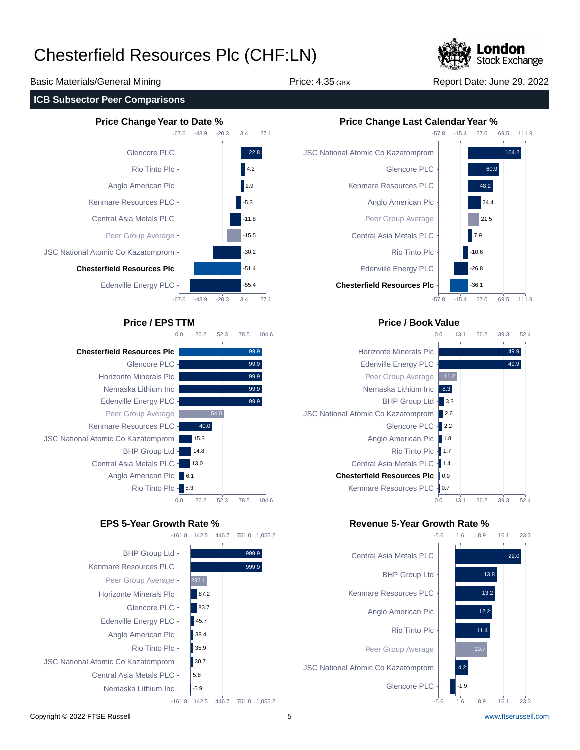

Basic Materials/General Mining The Price: 4.35 GBX Report Date: June 29, 2022

### **ICB Subsector Peer Comparisons**





**Chesterfield Resources Plc** Kenmare Resources PLC JSC National Atomic Co Kazatomprom Central Asia Metals PLC





## **Price / EPS TTM Price / Book Value**



## **EPS 5-Year Growth Rate % Revenue 5-Year Growth Rate %**

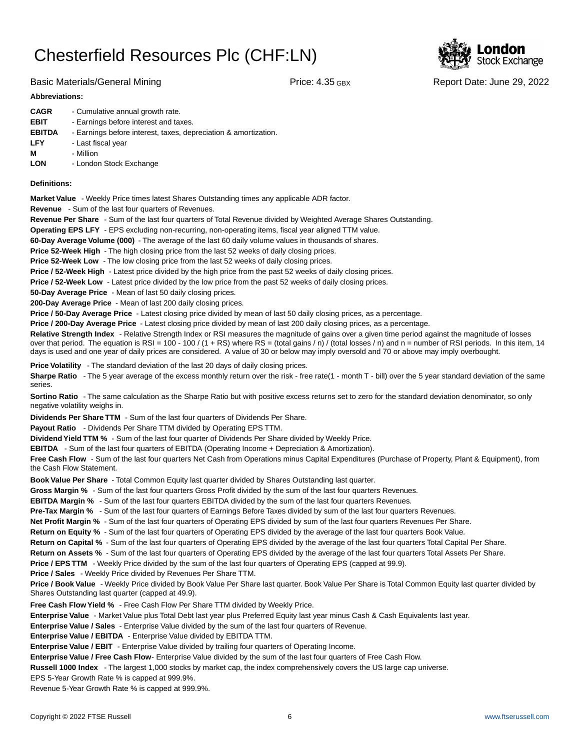

Basic Materials/General Mining The Report Date: June 29, 2022

### **Abbreviations:**

| - Cumulative annual growth rate.                                |
|-----------------------------------------------------------------|
| - Earnings before interest and taxes.                           |
| - Earnings before interest, taxes, depreciation & amortization. |
| - Last fiscal year                                              |
| - Million                                                       |
| - London Stock Exchange                                         |
|                                                                 |

### **Definitions:**

**Market Value** - Weekly Price times latest Shares Outstanding times any applicable ADR factor.

**Revenue** - Sum of the last four quarters of Revenues.

**Revenue Per Share** - Sum of the last four quarters of Total Revenue divided by Weighted Average Shares Outstanding.

**Operating EPS LFY** - EPS excluding non-recurring, non-operating items, fiscal year aligned TTM value.

60-Day Average Volume (000) - The average of the last 60 daily volume values in thousands of shares.

**Price 52-Week High** - The high closing price from the last 52 weeks of daily closing prices.

**Price 52-Week Low** - The low closing price from the last 52 weeks of daily closing prices.

**Price / 52-Week High** - Latest price divided by the high price from the past 52 weeks of daily closing prices.

**Price / 52-Week Low** - Latest price divided by the low price from the past 52 weeks of daily closing prices.

**50-Day Average Price** - Mean of last 50 daily closing prices.

**200-Day Average Price** - Mean of last 200 daily closing prices.

Price / 50-Day Average Price - Latest closing price divided by mean of last 50 daily closing prices, as a percentage.

**Price / 200-Day Average Price** - Latest closing price divided by mean of last 200 daily closing prices, as a percentage.

Relative Strength Index - Relative Strength Index or RSI measures the magnitude of gains over a given time period against the magnitude of losses over that period. The equation is RSI = 100 - 100 / (1 + RS) where RS = (total gains / n) / (total losses / n) and n = number of RSI periods. In this item, 14 days is used and one year of daily prices are considered. A value of 30 or below may imply oversold and 70 or above may imply overbought.

**Price Volatility** - The standard deviation of the last 20 days of daily closing prices.

Sharpe Ratio - The 5 year average of the excess monthly return over the risk - free rate(1 - month T - bill) over the 5 year standard deviation of the same series.

**Sortino Ratio** - The same calculation as the Sharpe Ratio but with positive excess returns set to zero for the standard deviation denominator, so only negative volatility weighs in.

**Dividends Per Share TTM** - Sum of the last four quarters of Dividends Per Share.

Payout Ratio - Dividends Per Share TTM divided by Operating EPS TTM.

**Dividend Yield TTM %** - Sum of the last four quarter of Dividends Per Share divided by Weekly Price.

**EBITDA** - Sum of the last four quarters of EBITDA (Operating Income + Depreciation & Amortization).

**Free Cash Flow** - Sum of the last four quarters Net Cash from Operations minus Capital Expenditures (Purchase of Property, Plant & Equipment), from the Cash Flow Statement.

**Book Value Per Share** - Total Common Equity last quarter divided by Shares Outstanding last quarter.

**Gross Margin %** - Sum of the last four quarters Gross Profit divided by the sum of the last four quarters Revenues.

**EBITDA Margin %** - Sum of the last four quarters EBITDA divided by the sum of the last four quarters Revenues.

**Pre-Tax Margin %** - Sum of the last four quarters of Earnings Before Taxes divided by sum of the last four quarters Revenues.

**Net Profit Margin %** - Sum of the last four quarters of Operating EPS divided by sum of the last four quarters Revenues Per Share.

**Return on Equity %** - Sum of the last four quarters of Operating EPS divided by the average of the last four quarters Book Value.

**Return on Capital %** - Sum of the last four quarters of Operating EPS divided by the average of the last four quarters Total Capital Per Share.

**Return on Assets %** - Sum of the last four quarters of Operating EPS divided by the average of the last four quarters Total Assets Per Share.

**Price / EPS TTM** - Weekly Price divided by the sum of the last four quarters of Operating EPS (capped at 99.9).

**Price / Sales** - Weekly Price divided by Revenues Per Share TTM.

**Price / Book Value** - Weekly Price divided by Book Value Per Share last quarter. Book Value Per Share is Total Common Equity last quarter divided by Shares Outstanding last quarter (capped at 49.9).

**Free Cash Flow Yield %** - Free Cash Flow Per Share TTM divided by Weekly Price.

Enterprise Value - Market Value plus Total Debt last year plus Preferred Equity last year minus Cash & Cash Equivalents last year.

**Enterprise Value / Sales** - Enterprise Value divided by the sum of the last four quarters of Revenue.

**Enterprise Value / EBITDA** - Enterprise Value divided by EBITDA TTM.

**Enterprise Value / EBIT** - Enterprise Value divided by trailing four quarters of Operating Income.

Enterprise Value / Free Cash Flow- Enterprise Value divided by the sum of the last four quarters of Free Cash Flow.

**Russell 1000 Index** - The largest 1,000 stocks by market cap, the index comprehensively covers the US large cap universe.

EPS 5-Year Growth Rate % is capped at 999.9%.

Revenue 5-Year Growth Rate % is capped at 999.9%.